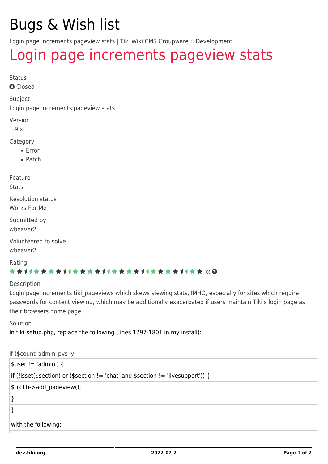## Bugs & Wish list

Login page increments pageview stats | Tiki Wiki CMS Groupware :: Development

## [Login page increments pageview stats](https://dev.tiki.org/item350-Login-page-increments-pageview-stats)

Status

**Q** Closed

Subject

Login page increments pageview stats

Version

1.9.x

Category

- Error
- Patch

Feature

**Stats** 

Resolution status Works For Me

Submitted by

wheaver<sub>2</sub>

Volunteered to solve wbeaver2

Rating \*\*\*\*\*\*\*\*\*\*\*\*\*\*\*\*\*\*\*\*\*\*\*\*\*\*\*\*\*\*\*

Description

Login page increments tiki pageviews which skews viewing stats, IMHO, especially for sites which require passwords for content viewing, which may be additionally exacerbated if users maintain Tiki's login page as their browsers home page.

Solution In tiki-setup.php, replace the following (lines 1797-1801 in my install):

```
if ($count_admin_pvs 'y'
```

| $\vert$ \$user != 'admin') {                                                     |  |  |  |  |  |
|----------------------------------------------------------------------------------|--|--|--|--|--|
| if (!isset(\$section) or (\$section != 'chat' and \$section != 'livesupport')) { |  |  |  |  |  |
| \$tikilib->add_pageview();                                                       |  |  |  |  |  |
|                                                                                  |  |  |  |  |  |
|                                                                                  |  |  |  |  |  |
| with the following:                                                              |  |  |  |  |  |